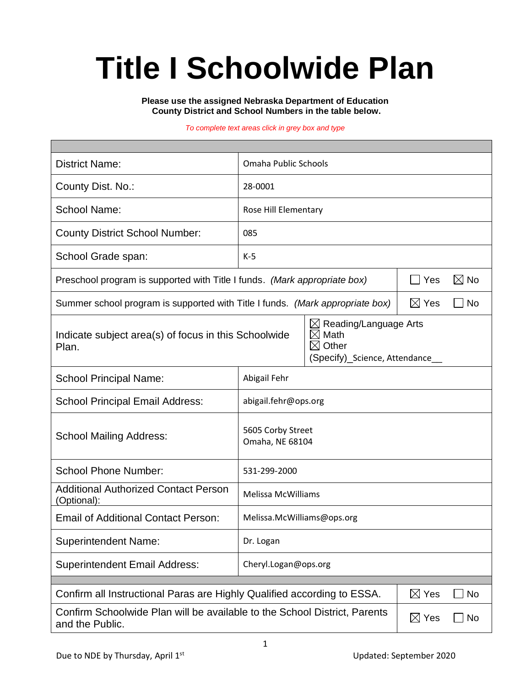# **Title I Schoolwide Plan**

**Please use the assigned Nebraska Department of Education County District and School Numbers in the table below.**

#### *To complete text areas click in grey box and type*

| <b>District Name:</b>                                                                                                                                                            | Omaha Public Schools                 |                       |  |  |  |
|----------------------------------------------------------------------------------------------------------------------------------------------------------------------------------|--------------------------------------|-----------------------|--|--|--|
| County Dist. No.:                                                                                                                                                                | 28-0001                              |                       |  |  |  |
| <b>School Name:</b>                                                                                                                                                              | Rose Hill Elementary                 |                       |  |  |  |
| <b>County District School Number:</b>                                                                                                                                            | 085                                  |                       |  |  |  |
| School Grade span:                                                                                                                                                               | $K-5$                                |                       |  |  |  |
| Preschool program is supported with Title I funds. (Mark appropriate box)                                                                                                        |                                      | $\boxtimes$ No<br>Yes |  |  |  |
| Summer school program is supported with Title I funds. (Mark appropriate box)                                                                                                    | $\boxtimes$ Yes<br>- No              |                       |  |  |  |
| $\boxtimes$ Reading/Language Arts<br>$\boxtimes$<br>Math<br>Indicate subject area(s) of focus in this Schoolwide<br>$\boxtimes$ Other<br>Plan.<br>(Specify)_Science, Attendance_ |                                      |                       |  |  |  |
| <b>School Principal Name:</b>                                                                                                                                                    | Abigail Fehr                         |                       |  |  |  |
| <b>School Principal Email Address:</b>                                                                                                                                           | abigail.fehr@ops.org                 |                       |  |  |  |
| <b>School Mailing Address:</b>                                                                                                                                                   | 5605 Corby Street<br>Omaha, NE 68104 |                       |  |  |  |
| <b>School Phone Number:</b>                                                                                                                                                      | 531-299-2000                         |                       |  |  |  |
| <b>Additional Authorized Contact Person</b><br>(Optional):                                                                                                                       | <b>Melissa McWilliams</b>            |                       |  |  |  |
| <b>Email of Additional Contact Person:</b>                                                                                                                                       | Melissa.McWilliams@ops.org           |                       |  |  |  |
| <b>Superintendent Name:</b>                                                                                                                                                      | Dr. Logan                            |                       |  |  |  |
| <b>Superintendent Email Address:</b>                                                                                                                                             | Cheryl.Logan@ops.org                 |                       |  |  |  |
| Confirm all Instructional Paras are Highly Qualified according to ESSA.<br>$\boxtimes$ Yes                                                                                       |                                      |                       |  |  |  |
| Confirm Schoolwide Plan will be available to the School District, Parents<br>$\boxtimes$ Yes<br>No<br>and the Public.                                                            |                                      |                       |  |  |  |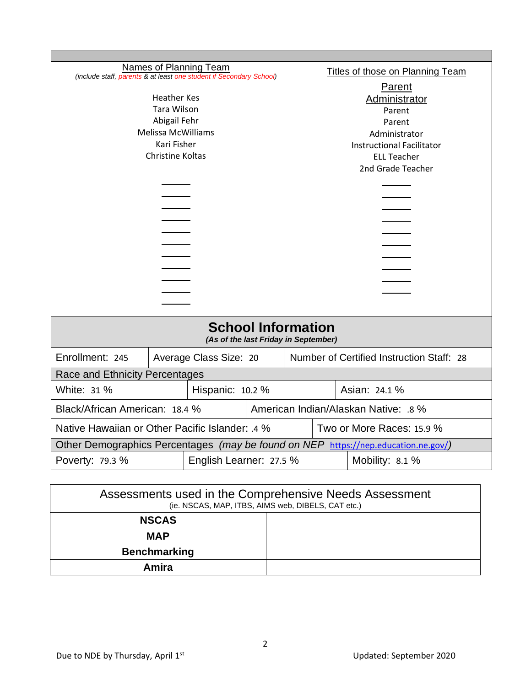| Names of Planning Team<br>(include staff, parents & at least one student if Secondary School) |                    |  | <b>Titles of those on Planning Team</b> |                                           |        |                   |  |
|-----------------------------------------------------------------------------------------------|--------------------|--|-----------------------------------------|-------------------------------------------|--------|-------------------|--|
|                                                                                               |                    |  |                                         |                                           | Parent |                   |  |
| <b>Heather Kes</b>                                                                            |                    |  | Administrator                           |                                           |        |                   |  |
|                                                                                               | <b>Tara Wilson</b> |  |                                         |                                           | Parent |                   |  |
| Abigail Fehr                                                                                  |                    |  |                                         | Parent                                    |        |                   |  |
| <b>Melissa McWilliams</b>                                                                     |                    |  |                                         | Administrator                             |        |                   |  |
| Kari Fisher                                                                                   |                    |  |                                         | <b>Instructional Facilitator</b>          |        |                   |  |
| <b>Christine Koltas</b>                                                                       |                    |  |                                         | <b>ELL Teacher</b>                        |        |                   |  |
|                                                                                               |                    |  |                                         |                                           |        | 2nd Grade Teacher |  |
|                                                                                               |                    |  |                                         |                                           |        |                   |  |
|                                                                                               |                    |  |                                         |                                           |        |                   |  |
|                                                                                               |                    |  |                                         |                                           |        |                   |  |
|                                                                                               |                    |  |                                         |                                           |        |                   |  |
|                                                                                               |                    |  |                                         |                                           |        |                   |  |
|                                                                                               |                    |  |                                         |                                           |        |                   |  |
|                                                                                               |                    |  |                                         |                                           |        |                   |  |
|                                                                                               |                    |  |                                         |                                           |        |                   |  |
|                                                                                               |                    |  |                                         |                                           |        |                   |  |
|                                                                                               |                    |  |                                         |                                           |        |                   |  |
|                                                                                               |                    |  |                                         |                                           |        |                   |  |
| <b>School Information</b><br>(As of the last Friday in September)                             |                    |  |                                         |                                           |        |                   |  |
| Enrollment: 245<br>Average Class Size: 20                                                     |                    |  |                                         | Number of Certified Instruction Staff: 28 |        |                   |  |
| Race and Ethnicity Percentages                                                                |                    |  |                                         |                                           |        |                   |  |
| White: 31 %                                                                                   | Hispanic: 10.2 %   |  |                                         | Asian: 24.1 %                             |        |                   |  |
| Black/African American: 18.4 %                                                                |                    |  | American Indian/Alaskan Native: .8 %    |                                           |        |                   |  |
| Native Hawaiian or Other Pacific Islander: .4 %<br>Two or More Races: 15.9 %                  |                    |  |                                         |                                           |        |                   |  |
| Other Demographics Percentages (may be found on NEP https://nep.education.ne.gov/)            |                    |  |                                         |                                           |        |                   |  |
| English Learner: 27.5 %<br>Poverty: 79.3 %<br>Mobility: 8.1 %                                 |                    |  |                                         |                                           |        |                   |  |
|                                                                                               |                    |  |                                         |                                           |        |                   |  |

| Assessments used in the Comprehensive Needs Assessment<br>(ie. NSCAS, MAP, ITBS, AIMS web, DIBELS, CAT etc.) |  |  |  |  |
|--------------------------------------------------------------------------------------------------------------|--|--|--|--|
| <b>NSCAS</b>                                                                                                 |  |  |  |  |
| <b>MAP</b>                                                                                                   |  |  |  |  |
| <b>Benchmarking</b>                                                                                          |  |  |  |  |
| Amira                                                                                                        |  |  |  |  |

٦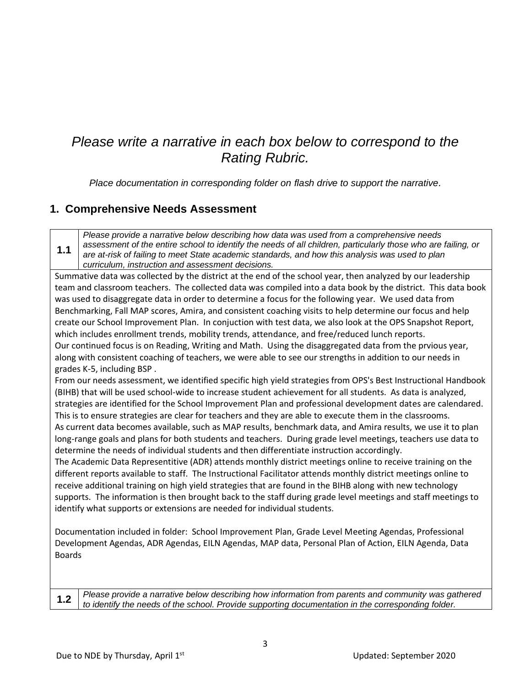## *Please write a narrative in each box below to correspond to the Rating Rubric.*

*Place documentation in corresponding folder on flash drive to support the narrative.*

#### **1. Comprehensive Needs Assessment**

**1.1** *Please provide a narrative below describing how data was used from a comprehensive needs assessment of the entire school to identify the needs of all children, particularly those who are failing, or are at-risk of failing to meet State academic standards, and how this analysis was used to plan curriculum, instruction and assessment decisions.*

Summative data was collected by the district at the end of the school year, then analyzed by our leadership team and classroom teachers. The collected data was compiled into a data book by the district. This data book was used to disaggregate data in order to determine a focus for the following year. We used data from Benchmarking, Fall MAP scores, Amira, and consistent coaching visits to help determine our focus and help create our School Improvement Plan. In conjuction with test data, we also look at the OPS Snapshot Report, which includes enrollment trends, mobility trends, attendance, and free/reduced lunch reports. Our continued focus is on Reading, Writing and Math. Using the disaggregated data from the prvious year, along with consistent coaching of teachers, we were able to see our strengths in addition to our needs in grades K-5, including BSP .

From our needs assessment, we identified specific high yield strategies from OPS's Best Instructional Handbook (BIHB) that will be used school-wide to increase student achievement for all students. As data is analyzed, strategies are identified for the School Improvement Plan and professional development dates are calendared. This is to ensure strategies are clear for teachers and they are able to execute them in the classrooms. As current data becomes available, such as MAP results, benchmark data, and Amira results, we use it to plan long-range goals and plans for both students and teachers. During grade level meetings, teachers use data to determine the needs of individual students and then differentiate instruction accordingly.

The Academic Data Representitive (ADR) attends monthly district meetings online to receive training on the different reports available to staff. The Instructional Facilitator attends monthly district meetings online to receive additional training on high yield strategies that are found in the BIHB along with new technology supports. The information is then brought back to the staff during grade level meetings and staff meetings to identify what supports or extensions are needed for individual students.

Documentation included in folder: School Improvement Plan, Grade Level Meeting Agendas, Professional Development Agendas, ADR Agendas, EILN Agendas, MAP data, Personal Plan of Action, EILN Agenda, Data Boards

**1.2** *Please provide a narrative below describing how information from parents and community was gathered to identify the needs of the school. Provide supporting documentation in the corresponding folder.*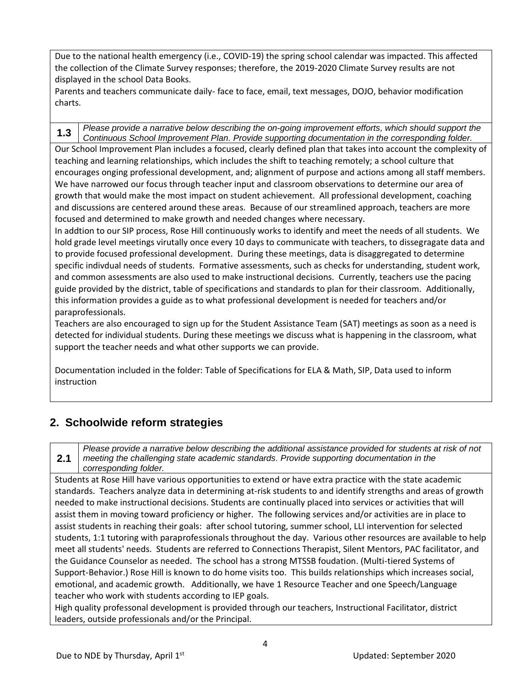Due to the national health emergency (i.e., COVID-19) the spring school calendar was impacted. This affected the collection of the Climate Survey responses; therefore, the 2019-2020 Climate Survey results are not displayed in the school Data Books.

Parents and teachers communicate daily- face to face, email, text messages, DOJO, behavior modification charts.

**1.3** *Please provide a narrative below describing the on-going improvement efforts, which should support the Continuous School Improvement Plan. Provide supporting documentation in the corresponding folder.* Our School Improvement Plan includes a focused, clearly defined plan that takes into account the complexity of teaching and learning relationships, which includes the shift to teaching remotely; a school culture that encourages onging professional development, and; alignment of purpose and actions among all staff members. We have narrowed our focus through teacher input and classroom observations to determine our area of growth that would make the most impact on student achievement. All professional development, coaching and discussions are centered around these areas. Because of our streamlined approach, teachers are more focused and determined to make growth and needed changes where necessary.

In addtion to our SIP process, Rose Hill continuously works to identify and meet the needs of all students. We hold grade level meetings virutally once every 10 days to communicate with teachers, to dissegragate data and to provide focused professional development. During these meetings, data is disaggregated to determine specific indivdual needs of students. Formative assessments, such as checks for understanding, student work, and common assessments are also used to make instructional decisions. Currently, teachers use the pacing guide provided by the district, table of specifications and standards to plan for their classroom. Additionally, this information provides a guide as to what professional development is needed for teachers and/or paraprofessionals.

Teachers are also encouraged to sign up for the Student Assistance Team (SAT) meetings as soon as a need is detected for individual students. During these meetings we discuss what is happening in the classroom, what support the teacher needs and what other supports we can provide.

Documentation included in the folder: Table of Specifications for ELA & Math, SIP, Data used to inform instruction

#### **2. Schoolwide reform strategies**

**2.1** *Please provide a narrative below describing the additional assistance provided for students at risk of not meeting the challenging state academic standards. Provide supporting documentation in the corresponding folder.*

Students at Rose Hill have various opportunities to extend or have extra practice with the state academic standards. Teachers analyze data in determining at-risk students to and identify strengths and areas of growth needed to make instructional decisions. Students are continually placed into services or activities that will assist them in moving toward proficiency or higher. The following services and/or activities are in place to assist students in reaching their goals: after school tutoring, summer school, LLI intervention for selected students, 1:1 tutoring with paraprofessionals throughout the day. Various other resources are available to help meet all students' needs. Students are referred to Connections Therapist, Silent Mentors, PAC facilitator, and the Guidance Counselor as needed. The school has a strong MTSSB foudation. (Multi-tiered Systems of Support-Behavior.) Rose Hill is known to do home visits too. This builds relationships which increases social, emotional, and academic growth. Additionally, we have 1 Resource Teacher and one Speech/Language teacher who work with students according to IEP goals.

High quality professonal development is provided through our teachers, Instructional Facilitator, district leaders, outside professionals and/or the Principal.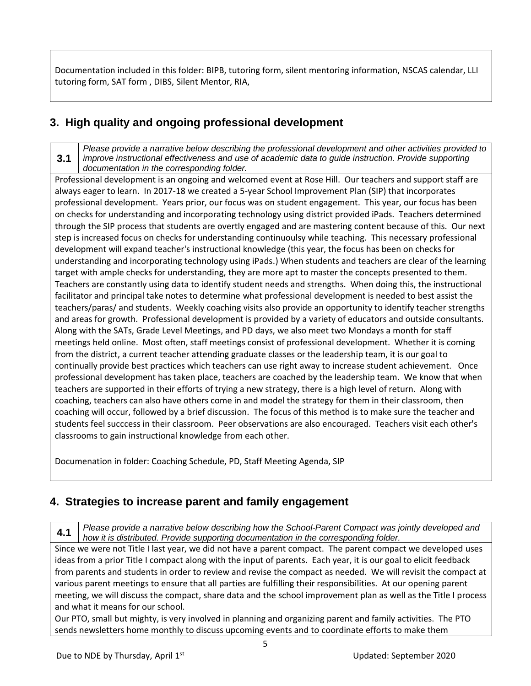Documentation included in this folder: BIPB, tutoring form, silent mentoring information, NSCAS calendar, LLI tutoring form, SAT form , DIBS, Silent Mentor, RIA,

### **3. High quality and ongoing professional development**

#### **3.1** *Please provide a narrative below describing the professional development and other activities provided to improve instructional effectiveness and use of academic data to guide instruction. Provide supporting documentation in the corresponding folder.*

Professional development is an ongoing and welcomed event at Rose Hill. Our teachers and support staff are always eager to learn. In 2017-18 we created a 5-year School Improvement Plan (SIP) that incorporates professional development. Years prior, our focus was on student engagement. This year, our focus has been on checks for understanding and incorporating technology using district provided iPads. Teachers determined through the SIP process that students are overtly engaged and are mastering content because of this. Our next step is increased focus on checks for understanding continuoulsy while teaching. This necessary professional development will expand teacher's instructional knowledge (this year, the focus has been on checks for understanding and incorporating technology using iPads.) When students and teachers are clear of the learning target with ample checks for understanding, they are more apt to master the concepts presented to them. Teachers are constantly using data to identify student needs and strengths. When doing this, the instructional facilitator and principal take notes to determine what professional development is needed to best assist the teachers/paras/ and students. Weekly coaching visits also provide an opportunity to identify teacher strengths and areas for growth. Professional development is provided by a variety of educators and outside consultants. Along with the SATs, Grade Level Meetings, and PD days, we also meet two Mondays a month for staff meetings held online. Most often, staff meetings consist of professional development. Whether it is coming from the district, a current teacher attending graduate classes or the leadership team, it is our goal to continually provide best practices which teachers can use right away to increase student achievement. Once professional development has taken place, teachers are coached by the leadership team. We know that when teachers are supported in their efforts of trying a new strategy, there is a high level of return. Along with coaching, teachers can also have others come in and model the strategy for them in their classroom, then coaching will occur, followed by a brief discussion. The focus of this method is to make sure the teacher and students feel succcess in their classroom. Peer observations are also encouraged. Teachers visit each other's classrooms to gain instructional knowledge from each other.

Documenation in folder: Coaching Schedule, PD, Staff Meeting Agenda, SIP

#### **4. Strategies to increase parent and family engagement**

**4.1** *Please provide a narrative below describing how the School-Parent Compact was jointly developed and how it is distributed. Provide supporting documentation in the corresponding folder.*

Since we were not Title I last year, we did not have a parent compact. The parent compact we developed uses ideas from a prior Title I compact along with the input of parents. Each year, it is our goal to elicit feedback from parents and students in order to review and revise the compact as needed. We will revisit the compact at various parent meetings to ensure that all parties are fulfilling their responsibilities. At our opening parent meeting, we will discuss the compact, share data and the school improvement plan as well as the Title I process and what it means for our school.

Our PTO, small but mighty, is very involved in planning and organizing parent and family activities. The PTO sends newsletters home monthly to discuss upcoming events and to coordinate efforts to make them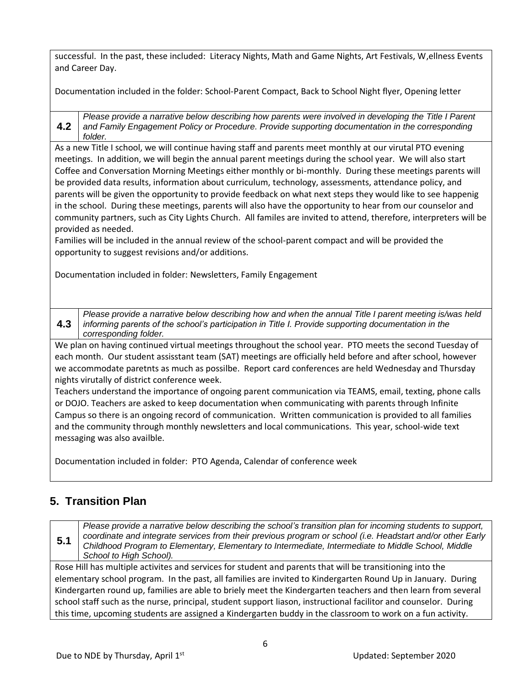successful. In the past, these included: Literacy Nights, Math and Game Nights, Art Festivals, W,ellness Events and Career Day.

Documentation included in the folder: School-Parent Compact, Back to School Night flyer, Opening letter

**4.2** *Please provide a narrative below describing how parents were involved in developing the Title I Parent and Family Engagement Policy or Procedure. Provide supporting documentation in the corresponding folder.*

As a new Title I school, we will continue having staff and parents meet monthly at our virutal PTO evening meetings. In addition, we will begin the annual parent meetings during the school year. We will also start Coffee and Conversation Morning Meetings either monthly or bi-monthly. During these meetings parents will be provided data results, information about curriculum, technology, assessments, attendance policy, and parents will be given the opportunity to provide feedback on what next steps they would like to see happenig in the school. During these meetings, parents will also have the opportunity to hear from our counselor and community partners, such as City Lights Church. All familes are invited to attend, therefore, interpreters will be provided as needed.

Families will be included in the annual review of the school-parent compact and will be provided the opportunity to suggest revisions and/or additions.

Documentation included in folder: Newsletters, Family Engagement

**4.3** *Please provide a narrative below describing how and when the annual Title I parent meeting is/was held informing parents of the school's participation in Title I. Provide supporting documentation in the corresponding folder.*

We plan on having continued virtual meetings throughout the school year. PTO meets the second Tuesday of each month. Our student assisstant team (SAT) meetings are officially held before and after school, however we accommodate paretnts as much as possilbe. Report card conferences are held Wednesday and Thursday nights virutally of district conference week.

Teachers understand the importance of ongoing parent communication via TEAMS, email, texting, phone calls or DOJO. Teachers are asked to keep documentation when communicating with parents through Infinite Campus so there is an ongoing record of communication. Written communication is provided to all families and the community through monthly newsletters and local communications. This year, school-wide text messaging was also availble.

Documentation included in folder: PTO Agenda, Calendar of conference week

### **5. Transition Plan**

**5.1** *Please provide a narrative below describing the school's transition plan for incoming students to support, coordinate and integrate services from their previous program or school (i.e. Headstart and/or other Early Childhood Program to Elementary, Elementary to Intermediate, Intermediate to Middle School, Middle School to High School).*

Rose Hill has multiple activites and services for student and parents that will be transitioning into the elementary school program. In the past, all families are invited to Kindergarten Round Up in January. During Kindergarten round up, families are able to briely meet the Kindergarten teachers and then learn from several school staff such as the nurse, principal, student support liason, instructional facilitor and counselor. During this time, upcoming students are assigned a Kindergarten buddy in the classroom to work on a fun activity.